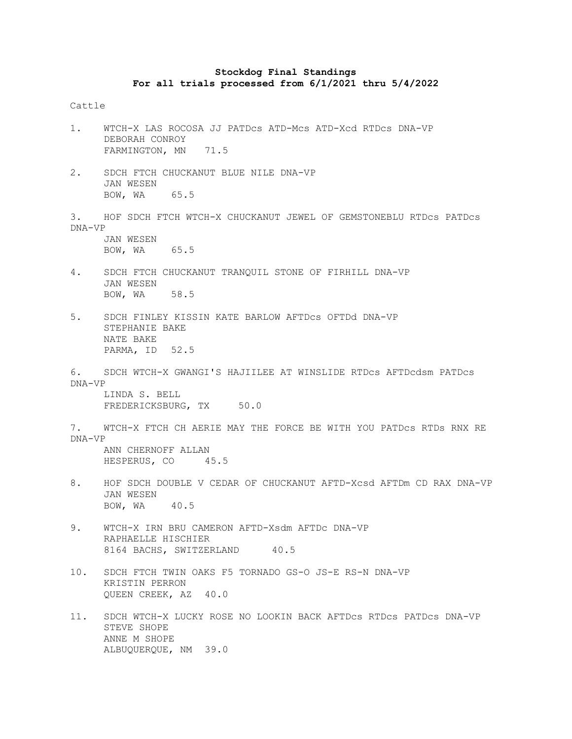## **Stockdog Final Standings For all trials processed from 6/1/2021 thru 5/4/2022**

## Cattle

- 1. WTCH-X LAS ROCOSA JJ PATDcs ATD-Mcs ATD-Xcd RTDcs DNA-VP DEBORAH CONROY FARMINGTON, MN 71.5
- 2. SDCH FTCH CHUCKANUT BLUE NILE DNA-VP JAN WESEN BOW, WA 65.5
- 3. HOF SDCH FTCH WTCH-X CHUCKANUT JEWEL OF GEMSTONEBLU RTDcs PATDcs DNA-VP JAN WESEN

BOW, WA 65.5

- 4. SDCH FTCH CHUCKANUT TRANQUIL STONE OF FIRHILL DNA-VP JAN WESEN BOW, WA 58.5
- 5. SDCH FINLEY KISSIN KATE BARLOW AFTDcs OFTDd DNA-VP STEPHANIE BAKE NATE BAKE PARMA, ID 52.5
- 6. SDCH WTCH-X GWANGI'S HAJIILEE AT WINSLIDE RTDcs AFTDcdsm PATDcs DNA-VP LINDA S. BELL

FREDERICKSBURG, TX 50.0

7. WTCH-X FTCH CH AERIE MAY THE FORCE BE WITH YOU PATDcs RTDs RNX RE DNA-VP ANN CHERNOFF ALLAN

HESPERUS, CO 45.5

- 8. HOF SDCH DOUBLE V CEDAR OF CHUCKANUT AFTD-Xcsd AFTDm CD RAX DNA-VP JAN WESEN BOW, WA 40.5
- 9. WTCH-X IRN BRU CAMERON AFTD-Xsdm AFTDc DNA-VP RAPHAELLE HISCHIER 8164 BACHS, SWITZERLAND 40.5
- 10. SDCH FTCH TWIN OAKS F5 TORNADO GS-O JS-E RS-N DNA-VP KRISTIN PERRON QUEEN CREEK, AZ 40.0
- 11. SDCH WTCH-X LUCKY ROSE NO LOOKIN BACK AFTDcs RTDcs PATDcs DNA-VP STEVE SHOPE ANNE M SHOPE ALBUQUERQUE, NM 39.0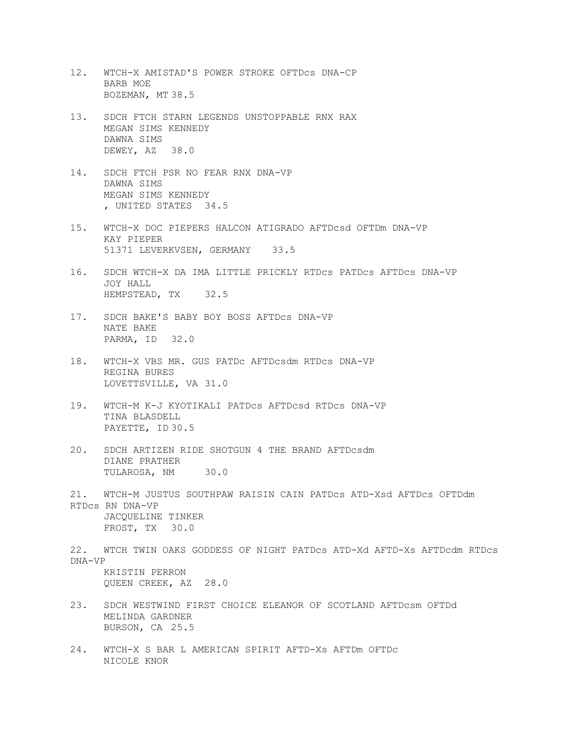- 12. WTCH-X AMISTAD'S POWER STROKE OFTDcs DNA-CP BARB MOE BOZEMAN, MT 38.5
- 13. SDCH FTCH STARN LEGENDS UNSTOPPABLE RNX RAX MEGAN SIMS KENNEDY DAWNA SIMS DEWEY, AZ 38.0
- 14. SDCH FTCH PSR NO FEAR RNX DNA-VP DAWNA SIMS MEGAN SIMS KENNEDY , UNITED STATES 34.5
- 15. WTCH-X DOC PIEPERS HALCON ATIGRADO AFTDcsd OFTDm DNA-VP KAY PIEPER 51371 LEVERKVSEN, GERMANY 33.5
- 16. SDCH WTCH-X DA IMA LITTLE PRICKLY RTDcs PATDcs AFTDcs DNA-VP JOY HALL HEMPSTEAD, TX 32.5
- 17. SDCH BAKE'S BABY BOY BOSS AFTDcs DNA-VP NATE BAKE PARMA, ID 32.0
- 18. WTCH-X VBS MR. GUS PATDc AFTDcsdm RTDcs DNA-VP REGINA BURES LOVETTSVILLE, VA 31.0
- 19. WTCH-M K-J KYOTIKALI PATDcs AFTDcsd RTDcs DNA-VP TINA BLASDELL PAYETTE, ID 30.5
- 20. SDCH ARTIZEN RIDE SHOTGUN 4 THE BRAND AFTDcsdm DIANE PRATHER TULAROSA, NM 30.0
- 21. WTCH-M JUSTUS SOUTHPAW RAISIN CAIN PATDcs ATD-Xsd AFTDcs OFTDdm RTDcs RN DNA-VP JACQUELINE TINKER FROST, TX 30.0
- 22. WTCH TWIN OAKS GODDESS OF NIGHT PATDcs ATD-Xd AFTD-Xs AFTDcdm RTDcs DNA-VP KRISTIN PERRON QUEEN CREEK, AZ 28.0
- 23. SDCH WESTWIND FIRST CHOICE ELEANOR OF SCOTLAND AFTDcsm OFTDd MELINDA GARDNER BURSON, CA 25.5
- 24. WTCH-X S BAR L AMERICAN SPIRIT AFTD-Xs AFTDm OFTDc NICOLE KNOR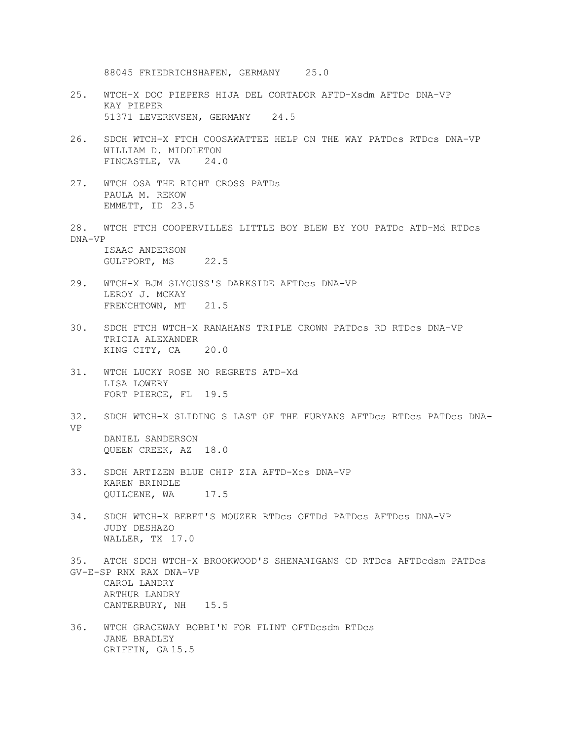88045 FRIEDRICHSHAFEN, GERMANY 25.0

- 25. WTCH-X DOC PIEPERS HIJA DEL CORTADOR AFTD-Xsdm AFTDc DNA-VP KAY PIEPER 51371 LEVERKVSEN, GERMANY 24.5
- 26. SDCH WTCH-X FTCH COOSAWATTEE HELP ON THE WAY PATDcs RTDcs DNA-VP WILLIAM D. MIDDLETON FINCASTLE, VA 24.0
- 27. WTCH OSA THE RIGHT CROSS PATDs PAULA M. REKOW EMMETT, ID 23.5
- 28. WTCH FTCH COOPERVILLES LITTLE BOY BLEW BY YOU PATDc ATD-Md RTDcs DNA-VP

ISAAC ANDERSON GULFPORT, MS 22.5

- 29. WTCH-X BJM SLYGUSS'S DARKSIDE AFTDcs DNA-VP LEROY J. MCKAY FRENCHTOWN, MT 21.5
- 30. SDCH FTCH WTCH-X RANAHANS TRIPLE CROWN PATDcs RD RTDcs DNA-VP TRICIA ALEXANDER KING CITY, CA 20.0
- 31. WTCH LUCKY ROSE NO REGRETS ATD-Xd LISA LOWERY FORT PIERCE, FL 19.5
- 32. SDCH WTCH-X SLIDING S LAST OF THE FURYANS AFTDcs RTDcs PATDcs DNA-VP DANIEL SANDERSON QUEEN CREEK, AZ 18.0
- 33. SDCH ARTIZEN BLUE CHIP ZIA AFTD-Xcs DNA-VP KAREN BRINDLE QUILCENE, WA 17.5
- 34. SDCH WTCH-X BERET'S MOUZER RTDcs OFTDd PATDcs AFTDcs DNA-VP JUDY DESHAZO WALLER, TX 17.0
- 35. ATCH SDCH WTCH-X BROOKWOOD'S SHENANIGANS CD RTDcs AFTDcdsm PATDcs GV-E-SP RNX RAX DNA-VP CAROL LANDRY ARTHUR LANDRY CANTERBURY, NH 15.5
- 36. WTCH GRACEWAY BOBBI'N FOR FLINT OFTDcsdm RTDcs JANE BRADLEY GRIFFIN, GA 15.5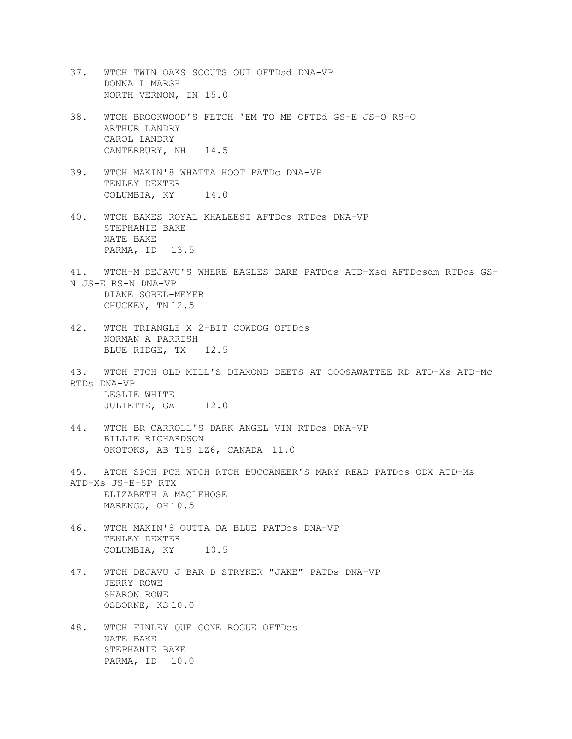- 37. WTCH TWIN OAKS SCOUTS OUT OFTDsd DNA-VP DONNA L MARSH NORTH VERNON, IN 15.0
- 38. WTCH BROOKWOOD'S FETCH 'EM TO ME OFTDd GS-E JS-O RS-O ARTHUR LANDRY CAROL LANDRY CANTERBURY, NH 14.5
- 39. WTCH MAKIN'8 WHATTA HOOT PATDc DNA-VP TENLEY DEXTER COLUMBIA, KY 14.0
- 40. WTCH BAKES ROYAL KHALEESI AFTDcs RTDcs DNA-VP STEPHANIE BAKE NATE BAKE PARMA, ID 13.5
- 41. WTCH-M DEJAVU'S WHERE EAGLES DARE PATDcs ATD-Xsd AFTDcsdm RTDcs GS-N JS-E RS-N DNA-VP DIANE SOBEL-MEYER CHUCKEY, TN 12.5
- 42. WTCH TRIANGLE X 2-BIT COWDOG OFTDcs NORMAN A PARRISH BLUE RIDGE, TX 12.5
- 43. WTCH FTCH OLD MILL'S DIAMOND DEETS AT COOSAWATTEE RD ATD-Xs ATD-Mc RTDs DNA-VP LESLIE WHITE JULIETTE, GA 12.0
- 44. WTCH BR CARROLL'S DARK ANGEL VIN RTDcs DNA-VP BILLIE RICHARDSON OKOTOKS, AB T1S 1Z6, CANADA 11.0
- 45. ATCH SPCH PCH WTCH RTCH BUCCANEER'S MARY READ PATDcs ODX ATD-Ms ATD-Xs JS-E-SP RTX ELIZABETH A MACLEHOSE MARENGO, OH 10.5
- 46. WTCH MAKIN'8 OUTTA DA BLUE PATDcs DNA-VP TENLEY DEXTER COLUMBIA, KY 10.5
- 47. WTCH DEJAVU J BAR D STRYKER "JAKE" PATDs DNA-VP JERRY ROWE SHARON ROWE OSBORNE, KS 10.0
- 48. WTCH FINLEY QUE GONE ROGUE OFTDcs NATE BAKE STEPHANIE BAKE PARMA, ID 10.0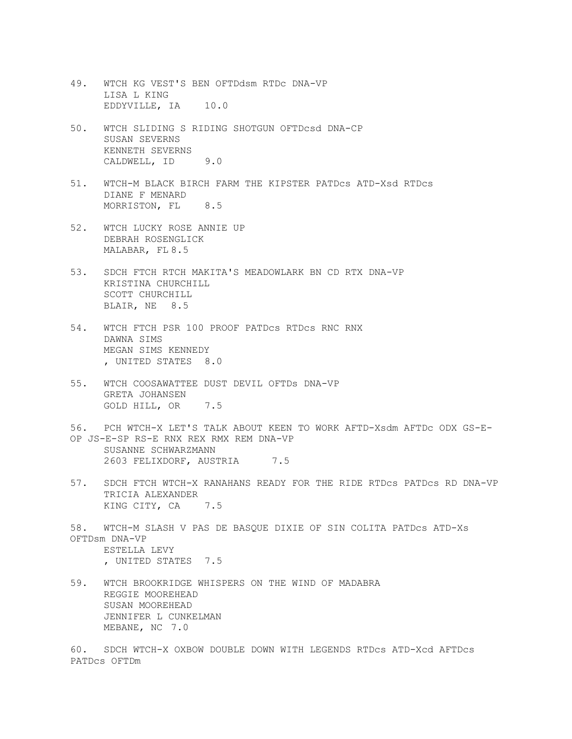- 49. WTCH KG VEST'S BEN OFTDdsm RTDc DNA-VP LISA L KING EDDYVILLE, IA 10.0
- 50. WTCH SLIDING S RIDING SHOTGUN OFTDcsd DNA-CP SUSAN SEVERNS KENNETH SEVERNS CALDWELL, ID 9.0
- 51. WTCH-M BLACK BIRCH FARM THE KIPSTER PATDcs ATD-Xsd RTDcs DIANE F MENARD MORRISTON, FL 8.5
- 52. WTCH LUCKY ROSE ANNIE UP DEBRAH ROSENGLICK MALABAR, FL 8.5
- 53. SDCH FTCH RTCH MAKITA'S MEADOWLARK BN CD RTX DNA-VP KRISTINA CHURCHILL SCOTT CHURCHILL BLAIR, NE 8.5
- 54. WTCH FTCH PSR 100 PROOF PATDcs RTDcs RNC RNX DAWNA SIMS MEGAN SIMS KENNEDY , UNITED STATES 8.0
- 55. WTCH COOSAWATTEE DUST DEVIL OFTDs DNA-VP GRETA JOHANSEN GOLD HILL, OR 7.5
- 56. PCH WTCH-X LET'S TALK ABOUT KEEN TO WORK AFTD-Xsdm AFTDc ODX GS-E-OP JS-E-SP RS-E RNX REX RMX REM DNA-VP SUSANNE SCHWARZMANN 2603 FELIXDORF, AUSTRIA 7.5
- 57. SDCH FTCH WTCH-X RANAHANS READY FOR THE RIDE RTDcs PATDcs RD DNA-VP TRICIA ALEXANDER KING CITY, CA 7.5
- 58. WTCH-M SLASH V PAS DE BASQUE DIXIE OF SIN COLITA PATDcs ATD-Xs OFTDsm DNA-VP ESTELLA LEVY , UNITED STATES 7.5
- 59. WTCH BROOKRIDGE WHISPERS ON THE WIND OF MADABRA REGGIE MOOREHEAD SUSAN MOOREHEAD JENNIFER L CUNKELMAN MEBANE, NC 7.0

60. SDCH WTCH-X OXBOW DOUBLE DOWN WITH LEGENDS RTDcs ATD-Xcd AFTDcs PATDcs OFTDm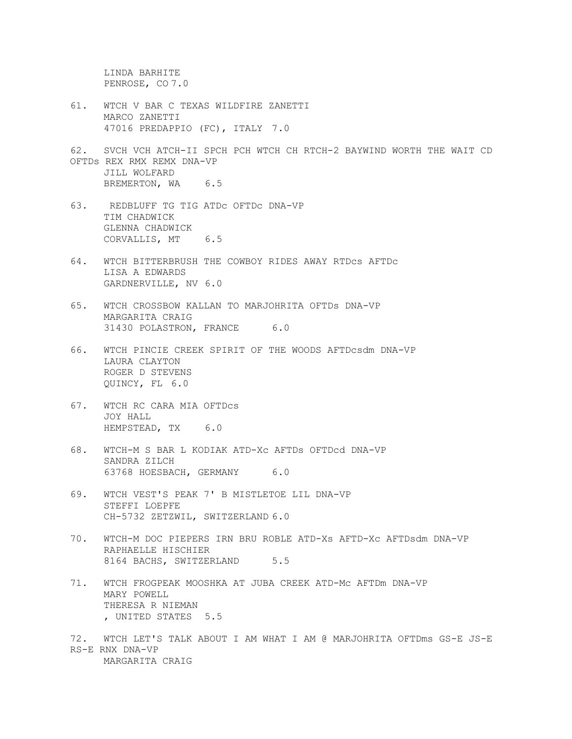LINDA BARHITE PENROSE, CO 7.0

- 61. WTCH V BAR C TEXAS WILDFIRE ZANETTI MARCO ZANETTI 47016 PREDAPPIO (FC), ITALY 7.0
- 62. SVCH VCH ATCH-II SPCH PCH WTCH CH RTCH-2 BAYWIND WORTH THE WAIT CD OFTDs REX RMX REMX DNA-VP JILL WOLFARD BREMERTON, WA 6.5
- 63. REDBLUFF TG TIG ATDc OFTDc DNA-VP TIM CHADWICK GLENNA CHADWICK CORVALLIS, MT 6.5
- 64. WTCH BITTERBRUSH THE COWBOY RIDES AWAY RTDcs AFTDc LISA A EDWARDS GARDNERVILLE, NV 6.0
- 65. WTCH CROSSBOW KALLAN TO MARJOHRITA OFTDs DNA-VP MARGARITA CRAIG 31430 POLASTRON, FRANCE 6.0
- 66. WTCH PINCIE CREEK SPIRIT OF THE WOODS AFTDcsdm DNA-VP LAURA CLAYTON ROGER D STEVENS QUINCY, FL 6.0
- 67. WTCH RC CARA MIA OFTDcs JOY HALL HEMPSTEAD, TX 6.0
- 68. WTCH-M S BAR L KODIAK ATD-Xc AFTDs OFTDcd DNA-VP SANDRA ZILCH 63768 HOESBACH, GERMANY 6.0
- 69. WTCH VEST'S PEAK 7' B MISTLETOE LIL DNA-VP STEFFI LOEPFE CH-5732 ZETZWIL, SWITZERLAND 6.0
- 70. WTCH-M DOC PIEPERS IRN BRU ROBLE ATD-Xs AFTD-Xc AFTDsdm DNA-VP RAPHAELLE HISCHIER 8164 BACHS, SWITZERLAND 5.5
- 71. WTCH FROGPEAK MOOSHKA AT JUBA CREEK ATD-Mc AFTDm DNA-VP MARY POWELL THERESA R NIEMAN , UNITED STATES 5.5
- 72. WTCH LET'S TALK ABOUT I AM WHAT I AM @ MARJOHRITA OFTDms GS-E JS-E RS-E RNX DNA-VP MARGARITA CRAIG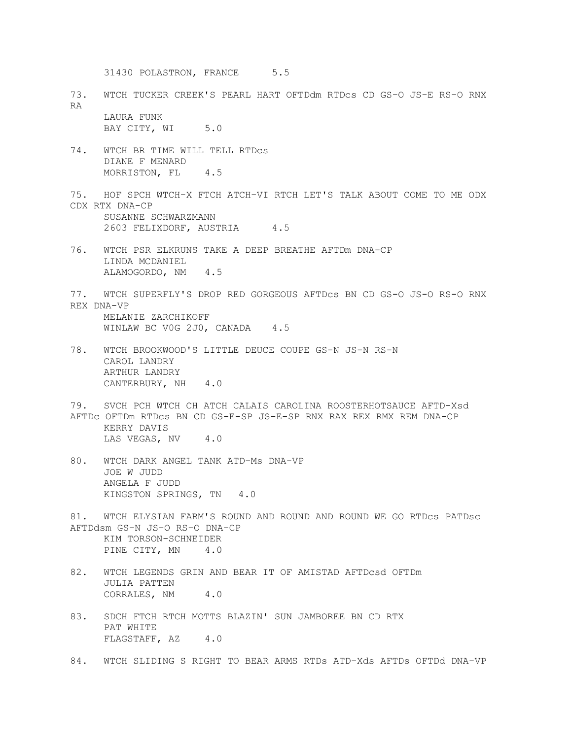31430 POLASTRON, FRANCE 5.5

73. WTCH TUCKER CREEK'S PEARL HART OFTDdm RTDcs CD GS-O JS-E RS-O RNX RA LAURA FUNK

BAY CITY, WI 5.0

- 74. WTCH BR TIME WILL TELL RTDcs DIANE F MENARD MORRISTON, FL<sub>4.5</sub>
- 75. HOF SPCH WTCH-X FTCH ATCH-VI RTCH LET'S TALK ABOUT COME TO ME ODX CDX RTX DNA-CP SUSANNE SCHWARZMANN 2603 FELIXDORF, AUSTRIA 4.5
- 76. WTCH PSR ELKRUNS TAKE A DEEP BREATHE AFTDm DNA-CP LINDA MCDANIEL ALAMOGORDO, NM 4.5
- 77. WTCH SUPERFLY'S DROP RED GORGEOUS AFTDcs BN CD GS-O JS-O RS-O RNX REX DNA-VP MELANIE ZARCHIKOFF WINLAW BC VOG 2JO, CANADA 4.5
- 78. WTCH BROOKWOOD'S LITTLE DEUCE COUPE GS-N JS-N RS-N CAROL LANDRY ARTHUR LANDRY CANTERBURY, NH 4.0
- 79. SVCH PCH WTCH CH ATCH CALAIS CAROLINA ROOSTERHOTSAUCE AFTD-Xsd AFTDc OFTDm RTDcs BN CD GS-E-SP JS-E-SP RNX RAX REX RMX REM DNA-CP KERRY DAVIS LAS VEGAS, NV 4.0
- 80. WTCH DARK ANGEL TANK ATD-Ms DNA-VP JOE W JUDD ANGELA F JUDD KINGSTON SPRINGS, TN 4.0
- 81. WTCH ELYSIAN FARM'S ROUND AND ROUND AND ROUND WE GO RTDcs PATDsc AFTDdsm GS-N JS-O RS-O DNA-CP

KIM TORSON-SCHNEIDER PINE CITY, MN 4.0

- 82. WTCH LEGENDS GRIN AND BEAR IT OF AMISTAD AFTDcsd OFTDm JULIA PATTEN CORRALES, NM 4.0
- 83. SDCH FTCH RTCH MOTTS BLAZIN' SUN JAMBOREE BN CD RTX PAT WHITE FLAGSTAFF, AZ 4.0
- 84. WTCH SLIDING S RIGHT TO BEAR ARMS RTDs ATD-Xds AFTDs OFTDd DNA-VP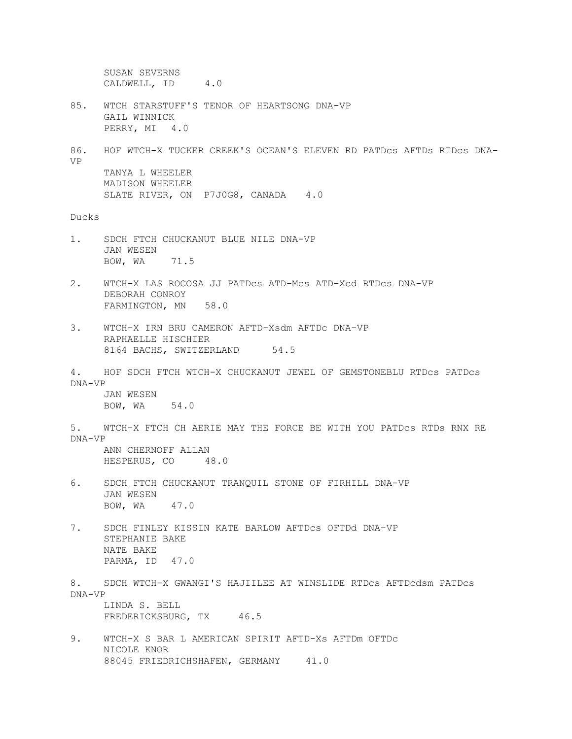SUSAN SEVERNS CALDWELL, ID 4.0 85. WTCH STARSTUFF'S TENOR OF HEARTSONG DNA-VP GAIL WINNICK PERRY, MI 4.0 86. HOF WTCH-X TUCKER CREEK'S OCEAN'S ELEVEN RD PATDcs AFTDs RTDcs DNA-VP TANYA L WHEELER MADISON WHEELER SLATE RIVER, ON P7J0G8, CANADA 4.0 Ducks 1. SDCH FTCH CHUCKANUT BLUE NILE DNA-VP JAN WESEN BOW, WA 71.5 2. WTCH-X LAS ROCOSA JJ PATDcs ATD-Mcs ATD-Xcd RTDcs DNA-VP DEBORAH CONROY FARMINGTON, MN 58.0 3. WTCH-X IRN BRU CAMERON AFTD-Xsdm AFTDc DNA-VP RAPHAELLE HISCHIER 8164 BACHS, SWITZERLAND 54.5 4. HOF SDCH FTCH WTCH-X CHUCKANUT JEWEL OF GEMSTONEBLU RTDcs PATDcs DNA-VP JAN WESEN BOW, WA 54.0 5. WTCH-X FTCH CH AERIE MAY THE FORCE BE WITH YOU PATDcs RTDs RNX RE DNA-VP ANN CHERNOFF ALLAN HESPERUS, CO 48.0 6. SDCH FTCH CHUCKANUT TRANQUIL STONE OF FIRHILL DNA-VP JAN WESEN BOW, WA 47.0 7. SDCH FINLEY KISSIN KATE BARLOW AFTDcs OFTDd DNA-VP STEPHANIE BAKE NATE BAKE PARMA, ID 47.0 8. SDCH WTCH-X GWANGI'S HAJIILEE AT WINSLIDE RTDcs AFTDcdsm PATDcs DNA-VP LINDA S. BELL FREDERICKSBURG, TX 46.5 9. WTCH-X S BAR L AMERICAN SPIRIT AFTD-Xs AFTDm OFTDc NICOLE KNOR 88045 FRIEDRICHSHAFEN, GERMANY 41.0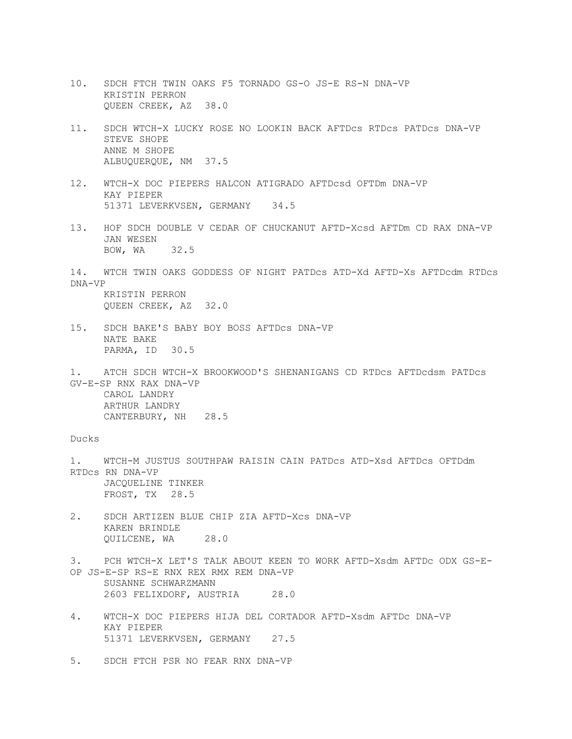- 10. SDCH FTCH TWIN OAKS F5 TORNADO GS-O JS-E RS-N DNA-VP KRISTIN PERRON QUEEN CREEK, AZ 38.0
- 11. SDCH WTCH-X LUCKY ROSE NO LOOKIN BACK AFTDcs RTDcs PATDcs DNA-VP STEVE SHOPE ANNE M SHOPE ALBUQUERQUE, NM 37.5
- 12. WTCH-X DOC PIEPERS HALCON ATIGRADO AFTDcsd OFTDm DNA-VP KAY PIEPER 51371 LEVERKVSEN, GERMANY 34.5
- 13. HOF SDCH DOUBLE V CEDAR OF CHUCKANUT AFTD-Xcsd AFTDm CD RAX DNA-VP JAN WESEN BOW, WA 32.5
- 14. WTCH TWIN OAKS GODDESS OF NIGHT PATDcs ATD-Xd AFTD-Xs AFTDcdm RTDcs DNA-VP KRISTIN PERRON

QUEEN CREEK, AZ 32.0

- 15. SDCH BAKE'S BABY BOY BOSS AFTDcs DNA-VP NATE BAKE PARMA, ID 30.5
- 1. ATCH SDCH WTCH-X BROOKWOOD'S SHENANIGANS CD RTDcs AFTDcdsm PATDcs GV-E-SP RNX RAX DNA-VP CAROL LANDRY ARTHUR LANDRY CANTERBURY, NH 28.5

## Ducks

- 1. WTCH-M JUSTUS SOUTHPAW RAISIN CAIN PATDcs ATD-Xsd AFTDcs OFTDdm RTDcs RN DNA-VP JACQUELINE TINKER FROST, TX 28.5
- 2. SDCH ARTIZEN BLUE CHIP ZIA AFTD-Xcs DNA-VP KAREN BRINDLE QUILCENE, WA 28.0
- 3. PCH WTCH-X LET'S TALK ABOUT KEEN TO WORK AFTD-Xsdm AFTDc ODX GS-E-OP JS-E-SP RS-E RNX REX RMX REM DNA-VP SUSANNE SCHWARZMANN 2603 FELIXDORF, AUSTRIA 28.0
- 4. WTCH-X DOC PIEPERS HIJA DEL CORTADOR AFTD-Xsdm AFTDc DNA-VP KAY PIEPER 51371 LEVERKVSEN, GERMANY 27.5
- 5. SDCH FTCH PSR NO FEAR RNX DNA-VP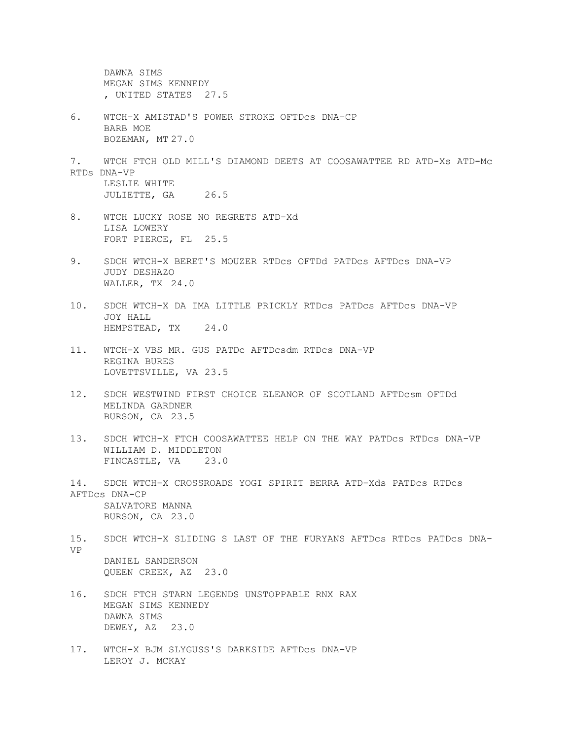DAWNA SIMS MEGAN SIMS KENNEDY , UNITED STATES 27.5

- 6. WTCH-X AMISTAD'S POWER STROKE OFTDcs DNA-CP BARB MOE BOZEMAN, MT 27.0
- 7. WTCH FTCH OLD MILL'S DIAMOND DEETS AT COOSAWATTEE RD ATD-Xs ATD-Mc RTDs DNA-VP LESLIE WHITE JULIETTE, GA 26.5
- 8. WTCH LUCKY ROSE NO REGRETS ATD-Xd LISA LOWERY FORT PIERCE, FL 25.5
- 9. SDCH WTCH-X BERET'S MOUZER RTDcs OFTDd PATDcs AFTDcs DNA-VP JUDY DESHAZO WALLER, TX 24.0
- 10. SDCH WTCH-X DA IMA LITTLE PRICKLY RTDcs PATDcs AFTDcs DNA-VP JOY HALL HEMPSTEAD, TX 24.0
- 11. WTCH-X VBS MR. GUS PATDc AFTDcsdm RTDcs DNA-VP REGINA BURES LOVETTSVILLE, VA 23.5
- 12. SDCH WESTWIND FIRST CHOICE ELEANOR OF SCOTLAND AFTDcsm OFTDd MELINDA GARDNER BURSON, CA 23.5
- 13. SDCH WTCH-X FTCH COOSAWATTEE HELP ON THE WAY PATDcs RTDcs DNA-VP WILLIAM D. MIDDLETON FINCASTLE, VA 23.0
- 14. SDCH WTCH-X CROSSROADS YOGI SPIRIT BERRA ATD-Xds PATDcs RTDcs AFTDcs DNA-CP SALVATORE MANNA BURSON, CA 23.0
- 15. SDCH WTCH-X SLIDING S LAST OF THE FURYANS AFTDcs RTDcs PATDcs DNA-VP DANIEL SANDERSON QUEEN CREEK, AZ 23.0
- 16. SDCH FTCH STARN LEGENDS UNSTOPPABLE RNX RAX MEGAN SIMS KENNEDY DAWNA SIMS DEWEY, AZ 23.0
- 17. WTCH-X BJM SLYGUSS'S DARKSIDE AFTDcs DNA-VP LEROY J. MCKAY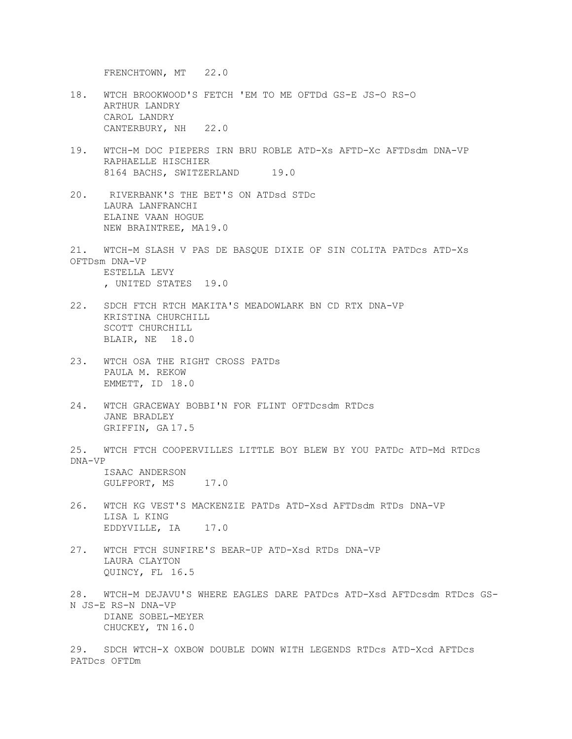FRENCHTOWN, MT 22.0

- 18. WTCH BROOKWOOD'S FETCH 'EM TO ME OFTDd GS-E JS-O RS-O ARTHUR LANDRY CAROL LANDRY CANTERBURY, NH 22.0
- 19. WTCH-M DOC PIEPERS IRN BRU ROBLE ATD-Xs AFTD-Xc AFTDsdm DNA-VP RAPHAELLE HISCHIER 8164 BACHS, SWITZERLAND 19.0
- 20. RIVERBANK'S THE BET'S ON ATDsd STDc LAURA LANFRANCHI ELAINE VAAN HOGUE NEW BRAINTREE, MA19.0
- 21. WTCH-M SLASH V PAS DE BASQUE DIXIE OF SIN COLITA PATDcs ATD-Xs OFTDsm DNA-VP ESTELLA LEVY , UNITED STATES 19.0
- 22. SDCH FTCH RTCH MAKITA'S MEADOWLARK BN CD RTX DNA-VP KRISTINA CHURCHILL SCOTT CHURCHILL BLAIR, NE 18.0
- 23. WTCH OSA THE RIGHT CROSS PATDs PAULA M. REKOW EMMETT, ID 18.0
- 24. WTCH GRACEWAY BOBBI'N FOR FLINT OFTDcsdm RTDcs JANE BRADLEY GRIFFIN, GA 17.5

25. WTCH FTCH COOPERVILLES LITTLE BOY BLEW BY YOU PATDc ATD-Md RTDcs DNA-VP ISAAC ANDERSON

GULFPORT, MS 17.0

- 26. WTCH KG VEST'S MACKENZIE PATDs ATD-Xsd AFTDsdm RTDs DNA-VP LISA L KING EDDYVILLE, IA 17.0
- 27. WTCH FTCH SUNFIRE'S BEAR-UP ATD-Xsd RTDs DNA-VP LAURA CLAYTON QUINCY, FL 16.5
- 28. WTCH-M DEJAVU'S WHERE EAGLES DARE PATDcs ATD-Xsd AFTDcsdm RTDcs GS-N JS-E RS-N DNA-VP DIANE SOBEL-MEYER CHUCKEY, TN 16.0
- 29. SDCH WTCH-X OXBOW DOUBLE DOWN WITH LEGENDS RTDcs ATD-Xcd AFTDcs PATDcs OFTDm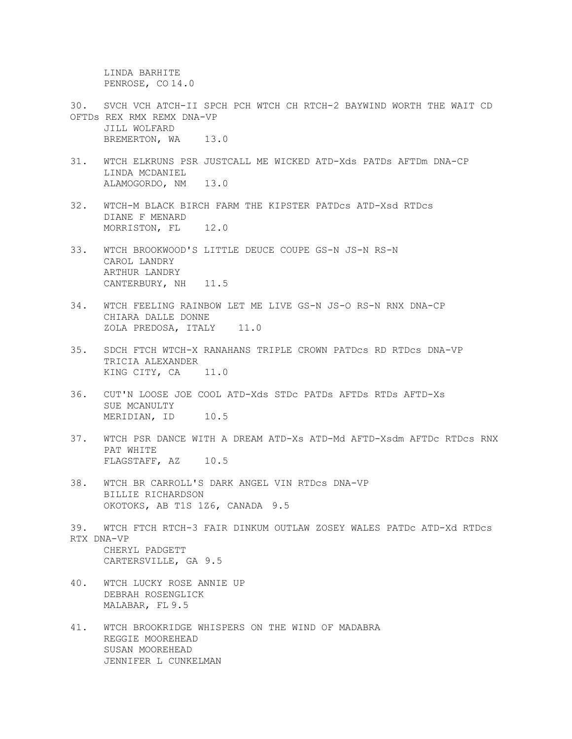LINDA BARHITE PENROSE, CO 14.0

- 30. SVCH VCH ATCH-II SPCH PCH WTCH CH RTCH-2 BAYWIND WORTH THE WAIT CD OFTDs REX RMX REMX DNA-VP JILL WOLFARD BREMERTON, WA 13.0
- 31. WTCH ELKRUNS PSR JUSTCALL ME WICKED ATD-Xds PATDs AFTDm DNA-CP LINDA MCDANIEL ALAMOGORDO, NM 13.0
- 32. WTCH-M BLACK BIRCH FARM THE KIPSTER PATDcs ATD-Xsd RTDcs DIANE F MENARD MORRISTON, FL<sub>12.0</sub>
- 33. WTCH BROOKWOOD'S LITTLE DEUCE COUPE GS-N JS-N RS-N CAROL LANDRY ARTHUR LANDRY CANTERBURY, NH 11.5
- 34. WTCH FEELING RAINBOW LET ME LIVE GS-N JS-O RS-N RNX DNA-CP CHIARA DALLE DONNE ZOLA PREDOSA, ITALY 11.0
- 35. SDCH FTCH WTCH-X RANAHANS TRIPLE CROWN PATDcs RD RTDcs DNA-VP TRICIA ALEXANDER KING CITY, CA 11.0
- 36. CUT'N LOOSE JOE COOL ATD-Xds STDc PATDs AFTDs RTDs AFTD-Xs SUE MCANULTY MERIDIAN, ID 10.5
- 37. WTCH PSR DANCE WITH A DREAM ATD-Xs ATD-Md AFTD-Xsdm AFTDc RTDcs RNX PAT WHITE FLAGSTAFF, AZ 10.5
- 38. WTCH BR CARROLL'S DARK ANGEL VIN RTDcs DNA-VP BILLIE RICHARDSON OKOTOKS, AB T1S 1Z6, CANADA 9.5
- 39. WTCH FTCH RTCH-3 FAIR DINKUM OUTLAW ZOSEY WALES PATDc ATD-Xd RTDcs RTX DNA-VP CHERYL PADGETT CARTERSVILLE, GA 9.5
- 40. WTCH LUCKY ROSE ANNIE UP DEBRAH ROSENGLICK MALABAR, FL 9.5
- 41. WTCH BROOKRIDGE WHISPERS ON THE WIND OF MADABRA REGGIE MOOREHEAD SUSAN MOOREHEAD JENNIFER L CUNKELMAN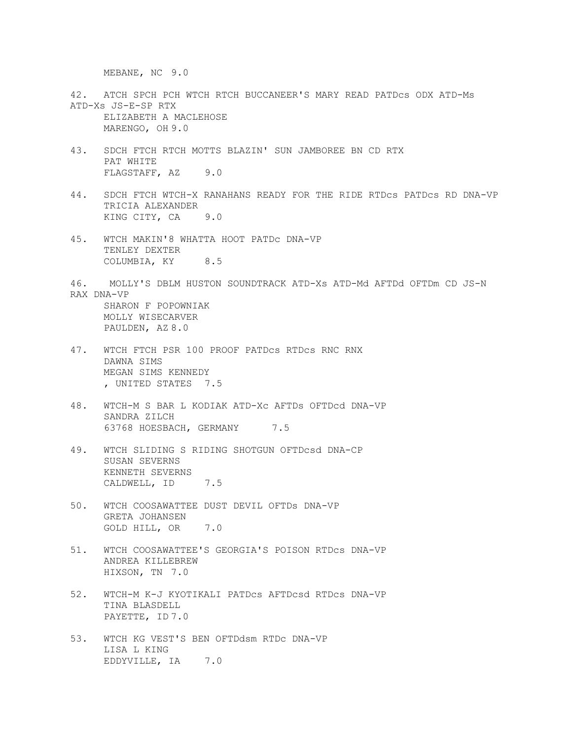MEBANE, NC 9.0

- 42. ATCH SPCH PCH WTCH RTCH BUCCANEER'S MARY READ PATDcs ODX ATD-Ms ATD-Xs JS-E-SP RTX ELIZABETH A MACLEHOSE MARENGO, OH 9.0
- 43. SDCH FTCH RTCH MOTTS BLAZIN' SUN JAMBOREE BN CD RTX PAT WHITE FLAGSTAFF, AZ 9.0
- 44. SDCH FTCH WTCH-X RANAHANS READY FOR THE RIDE RTDcs PATDcs RD DNA-VP TRICIA ALEXANDER KING CITY, CA 9.0
- 45. WTCH MAKIN'8 WHATTA HOOT PATDc DNA-VP TENLEY DEXTER COLUMBIA, KY 8.5
- 46. MOLLY'S DBLM HUSTON SOUNDTRACK ATD-Xs ATD-Md AFTDd OFTDm CD JS-N RAX DNA-VP SHARON F POPOWNIAK MOLLY WISECARVER
	- PAULDEN, AZ 8.0
- 47. WTCH FTCH PSR 100 PROOF PATDcs RTDcs RNC RNX DAWNA SIMS MEGAN SIMS KENNEDY , UNITED STATES 7.5
- 48. WTCH-M S BAR L KODIAK ATD-Xc AFTDs OFTDcd DNA-VP SANDRA ZILCH 63768 HOESBACH, GERMANY 7.5
- 49. WTCH SLIDING S RIDING SHOTGUN OFTDcsd DNA-CP SUSAN SEVERNS KENNETH SEVERNS CALDWELL, ID 7.5
- 50. WTCH COOSAWATTEE DUST DEVIL OFTDs DNA-VP GRETA JOHANSEN GOLD HILL, OR 7.0
- 51. WTCH COOSAWATTEE'S GEORGIA'S POISON RTDcs DNA-VP ANDREA KILLEBREW HIXSON, TN 7.0
- 52. WTCH-M K-J KYOTIKALI PATDcs AFTDcsd RTDcs DNA-VP TINA BLASDELL PAYETTE, ID 7.0
- 53. WTCH KG VEST'S BEN OFTDdsm RTDc DNA-VP LISA L KING EDDYVILLE, IA 7.0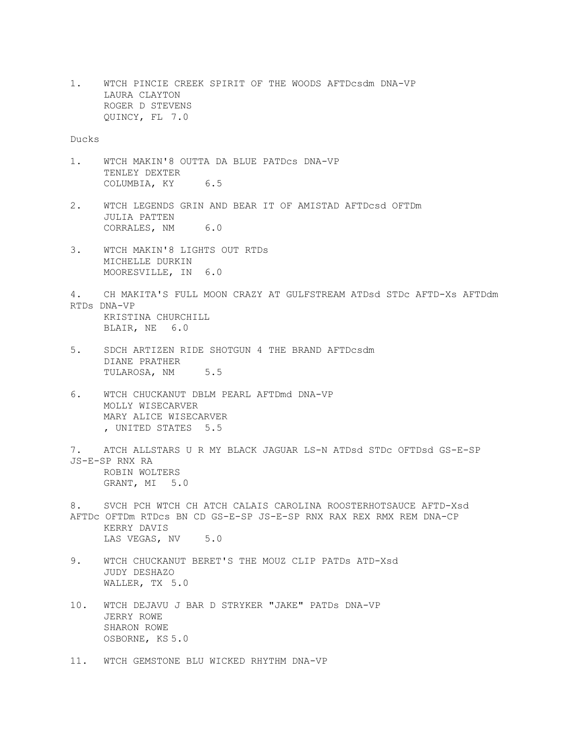1. WTCH PINCIE CREEK SPIRIT OF THE WOODS AFTDcsdm DNA-VP LAURA CLAYTON ROGER D STEVENS QUINCY, FL 7.0

## Ducks

- 1. WTCH MAKIN'8 OUTTA DA BLUE PATDcs DNA-VP TENLEY DEXTER COLUMBIA, KY 6.5
- 2. WTCH LEGENDS GRIN AND BEAR IT OF AMISTAD AFTDcsd OFTDm JULIA PATTEN CORRALES, NM 6.0
- 3. WTCH MAKIN'8 LIGHTS OUT RTDs MICHELLE DURKIN MOORESVILLE, IN 6.0
- 4. CH MAKITA'S FULL MOON CRAZY AT GULFSTREAM ATDsd STDc AFTD-Xs AFTDdm RTDs DNA-VP KRISTINA CHURCHILL BLAIR, NE 6.0
- 5. SDCH ARTIZEN RIDE SHOTGUN 4 THE BRAND AFTDcsdm DIANE PRATHER TULAROSA, NM 5.5
- 6. WTCH CHUCKANUT DBLM PEARL AFTDmd DNA-VP MOLLY WISECARVER MARY ALICE WISECARVER , UNITED STATES 5.5
- 7. ATCH ALLSTARS U R MY BLACK JAGUAR LS-N ATDsd STDc OFTDsd GS-E-SP JS-E-SP RNX RA ROBIN WOLTERS GRANT, MI 5.0
- 8. SVCH PCH WTCH CH ATCH CALAIS CAROLINA ROOSTERHOTSAUCE AFTD-Xsd AFTDc OFTDm RTDcs BN CD GS-E-SP JS-E-SP RNX RAX REX RMX REM DNA-CP KERRY DAVIS LAS VEGAS, NV 5.0
- 9. WTCH CHUCKANUT BERET'S THE MOUZ CLIP PATDs ATD-Xsd JUDY DESHAZO WALLER, TX 5.0
- 10. WTCH DEJAVU J BAR D STRYKER "JAKE" PATDs DNA-VP JERRY ROWE SHARON ROWE OSBORNE, KS 5.0
- 11. WTCH GEMSTONE BLU WICKED RHYTHM DNA-VP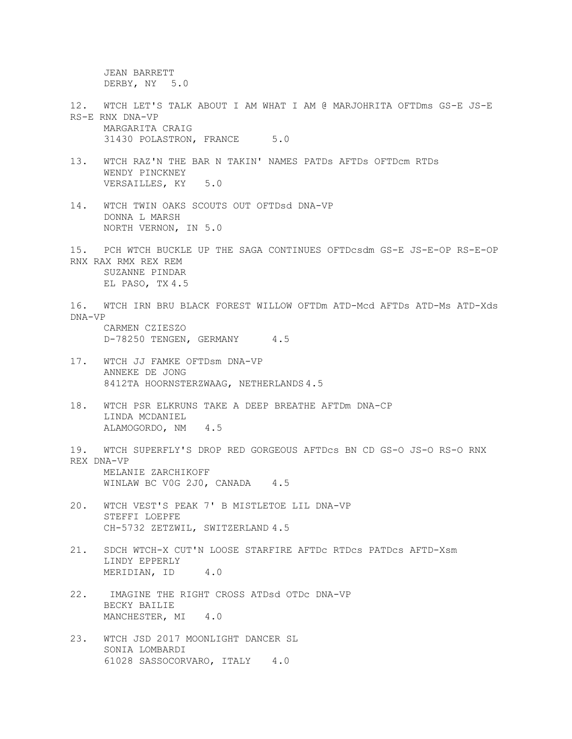JEAN BARRETT DERBY, NY 5.0

- 12. WTCH LET'S TALK ABOUT I AM WHAT I AM @ MARJOHRITA OFTDms GS-E JS-E RS-E RNX DNA-VP MARGARITA CRAIG 31430 POLASTRON, FRANCE 5.0
- 13. WTCH RAZ'N THE BAR N TAKIN' NAMES PATDs AFTDs OFTDcm RTDs WENDY PINCKNEY VERSAILLES, KY 5.0
- 14. WTCH TWIN OAKS SCOUTS OUT OFTDsd DNA-VP DONNA L MARSH NORTH VERNON, IN 5.0
- 15. PCH WTCH BUCKLE UP THE SAGA CONTINUES OFTDcsdm GS-E JS-E-OP RS-E-OP RNX RAX RMX REX REM SUZANNE PINDAR EL PASO, TX 4.5
- 16. WTCH IRN BRU BLACK FOREST WILLOW OFTDm ATD-Mcd AFTDs ATD-Ms ATD-Xds DNA-VP CARMEN CZIESZO

D-78250 TENGEN, GERMANY 4.5

- 17. WTCH JJ FAMKE OFTDsm DNA-VP ANNEKE DE JONG 8412TA HOORNSTERZWAAG, NETHERLANDS 4.5
- 18. WTCH PSR ELKRUNS TAKE A DEEP BREATHE AFTDm DNA-CP LINDA MCDANIEL ALAMOGORDO, NM 4.5
- 19. WTCH SUPERFLY'S DROP RED GORGEOUS AFTDcs BN CD GS-O JS-O RS-O RNX REX DNA-VP MELANIE ZARCHIKOFF WINLAW BC VOG 2JO, CANADA 4.5
- 20. WTCH VEST'S PEAK 7' B MISTLETOE LIL DNA-VP STEFFI LOEPFE CH-5732 ZETZWIL, SWITZERLAND 4.5
- 21. SDCH WTCH-X CUT'N LOOSE STARFIRE AFTDc RTDcs PATDcs AFTD-Xsm LINDY EPPERLY MERIDIAN, ID 4.0
- 22. IMAGINE THE RIGHT CROSS ATDsd OTDc DNA-VP BECKY BAILIE MANCHESTER, MI 4.0
- 23. WTCH JSD 2017 MOONLIGHT DANCER SL SONIA LOMBARDI 61028 SASSOCORVARO, ITALY 4.0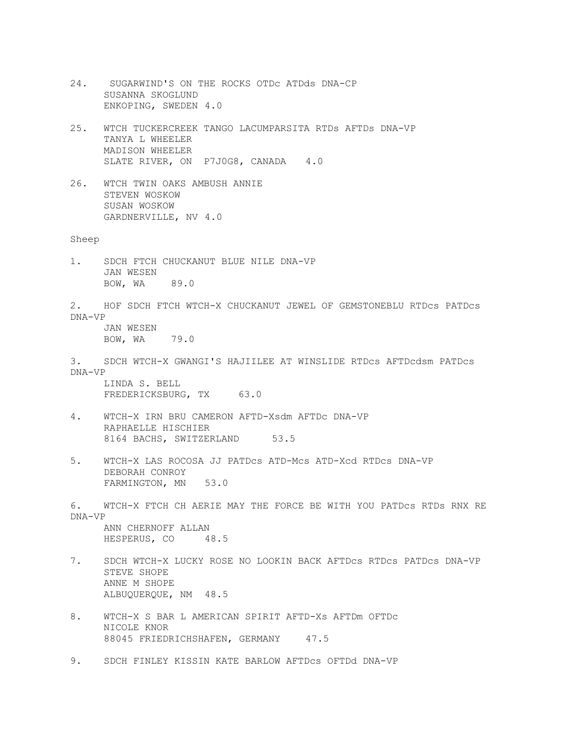24. SUGARWIND'S ON THE ROCKS OTDc ATDds DNA-CP SUSANNA SKOGLUND ENKOPING, SWEDEN 4.0 25. WTCH TUCKERCREEK TANGO LACUMPARSITA RTDs AFTDs DNA-VP TANYA L WHEELER MADISON WHEELER SLATE RIVER, ON P7J0G8, CANADA 4.0 26. WTCH TWIN OAKS AMBUSH ANNIE STEVEN WOSKOW SUSAN WOSKOW GARDNERVILLE, NV 4.0 Sheep 1. SDCH FTCH CHUCKANUT BLUE NILE DNA-VP JAN WESEN BOW, WA 89.0 2. HOF SDCH FTCH WTCH-X CHUCKANUT JEWEL OF GEMSTONEBLU RTDcs PATDcs DNA-VP JAN WESEN BOW, WA 79.0 3. SDCH WTCH-X GWANGI'S HAJIILEE AT WINSLIDE RTDcs AFTDcdsm PATDcs DNA-VP LINDA S. BELL FREDERICKSBURG, TX 63.0 4. WTCH-X IRN BRU CAMERON AFTD-Xsdm AFTDc DNA-VP RAPHAELLE HISCHIER 8164 BACHS, SWITZERLAND 53.5 5. WTCH-X LAS ROCOSA JJ PATDcs ATD-Mcs ATD-Xcd RTDcs DNA-VP DEBORAH CONROY FARMINGTON, MN 53.0 6. WTCH-X FTCH CH AERIE MAY THE FORCE BE WITH YOU PATDcs RTDs RNX RE DNA-VP ANN CHERNOFF ALLAN HESPERUS, CO 48.5 7. SDCH WTCH-X LUCKY ROSE NO LOOKIN BACK AFTDcs RTDcs PATDcs DNA-VP STEVE SHOPE ANNE M SHOPE ALBUQUERQUE, NM 48.5 8. WTCH-X S BAR L AMERICAN SPIRIT AFTD-Xs AFTDm OFTDc NICOLE KNOR 88045 FRIEDRICHSHAFEN, GERMANY 47.5 9. SDCH FINLEY KISSIN KATE BARLOW AFTDcs OFTDd DNA-VP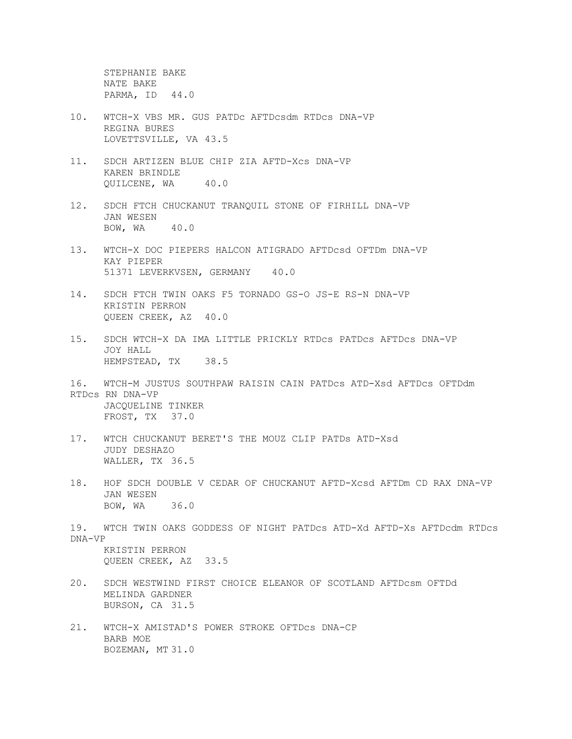STEPHANIE BAKE NATE BAKE PARMA, ID 44.0

- 10. WTCH-X VBS MR. GUS PATDc AFTDcsdm RTDcs DNA-VP REGINA BURES LOVETTSVILLE, VA 43.5
- 11. SDCH ARTIZEN BLUE CHIP ZIA AFTD-Xcs DNA-VP KAREN BRINDLE QUILCENE, WA 40.0
- 12. SDCH FTCH CHUCKANUT TRANQUIL STONE OF FIRHILL DNA-VP JAN WESEN BOW, WA 40.0
- 13. WTCH-X DOC PIEPERS HALCON ATIGRADO AFTDcsd OFTDm DNA-VP KAY PIEPER 51371 LEVERKVSEN, GERMANY 40.0
- 14. SDCH FTCH TWIN OAKS F5 TORNADO GS-O JS-E RS-N DNA-VP KRISTIN PERRON QUEEN CREEK, AZ 40.0
- 15. SDCH WTCH-X DA IMA LITTLE PRICKLY RTDcs PATDcs AFTDcs DNA-VP JOY HALL HEMPSTEAD, TX 38.5
- 16. WTCH-M JUSTUS SOUTHPAW RAISIN CAIN PATDcs ATD-Xsd AFTDcs OFTDdm RTDcs RN DNA-VP JACQUELINE TINKER FROST, TX 37.0
- 17. WTCH CHUCKANUT BERET'S THE MOUZ CLIP PATDs ATD-Xsd JUDY DESHAZO WALLER, TX 36.5
- 18. HOF SDCH DOUBLE V CEDAR OF CHUCKANUT AFTD-Xcsd AFTDm CD RAX DNA-VP JAN WESEN BOW, WA 36.0
- 19. WTCH TWIN OAKS GODDESS OF NIGHT PATDcs ATD-Xd AFTD-Xs AFTDcdm RTDcs DNA-VP KRISTIN PERRON QUEEN CREEK, AZ 33.5
- 20. SDCH WESTWIND FIRST CHOICE ELEANOR OF SCOTLAND AFTDcsm OFTDd MELINDA GARDNER BURSON, CA 31.5
- 21. WTCH-X AMISTAD'S POWER STROKE OFTDcs DNA-CP BARB MOE BOZEMAN, MT 31.0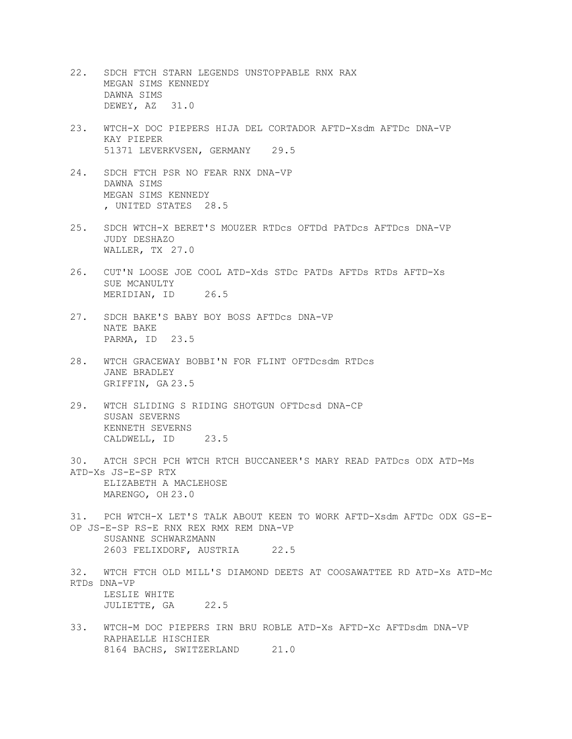- 22. SDCH FTCH STARN LEGENDS UNSTOPPABLE RNX RAX MEGAN SIMS KENNEDY DAWNA SIMS DEWEY, AZ 31.0
- 23. WTCH-X DOC PIEPERS HIJA DEL CORTADOR AFTD-Xsdm AFTDc DNA-VP KAY PIEPER 51371 LEVERKVSEN, GERMANY 29.5
- 24. SDCH FTCH PSR NO FEAR RNX DNA-VP DAWNA SIMS MEGAN SIMS KENNEDY , UNITED STATES 28.5
- 25. SDCH WTCH-X BERET'S MOUZER RTDcs OFTDd PATDcs AFTDcs DNA-VP JUDY DESHAZO WALLER, TX 27.0
- 26. CUT'N LOOSE JOE COOL ATD-Xds STDc PATDs AFTDs RTDs AFTD-Xs SUE MCANULTY MERIDIAN, ID 26.5
- 27. SDCH BAKE'S BABY BOY BOSS AFTDcs DNA-VP NATE BAKE PARMA, ID 23.5
- 28. WTCH GRACEWAY BOBBI'N FOR FLINT OFTDcsdm RTDcs JANE BRADLEY GRIFFIN, GA 23.5
- 29. WTCH SLIDING S RIDING SHOTGUN OFTDcsd DNA-CP SUSAN SEVERNS KENNETH SEVERNS CALDWELL, ID 23.5
- 30. ATCH SPCH PCH WTCH RTCH BUCCANEER'S MARY READ PATDcs ODX ATD-Ms ATD-Xs JS-E-SP RTX ELIZABETH A MACLEHOSE MARENGO, OH 23.0
- 31. PCH WTCH-X LET'S TALK ABOUT KEEN TO WORK AFTD-Xsdm AFTDc ODX GS-E-OP JS-E-SP RS-E RNX REX RMX REM DNA-VP SUSANNE SCHWARZMANN 2603 FELIXDORF, AUSTRIA 22.5
- 32. WTCH FTCH OLD MILL'S DIAMOND DEETS AT COOSAWATTEE RD ATD-Xs ATD-Mc RTDs DNA-VP LESLIE WHITE JULIETTE, GA 22.5
- 33. WTCH-M DOC PIEPERS IRN BRU ROBLE ATD-Xs AFTD-Xc AFTDsdm DNA-VP RAPHAELLE HISCHIER 8164 BACHS, SWITZERLAND 21.0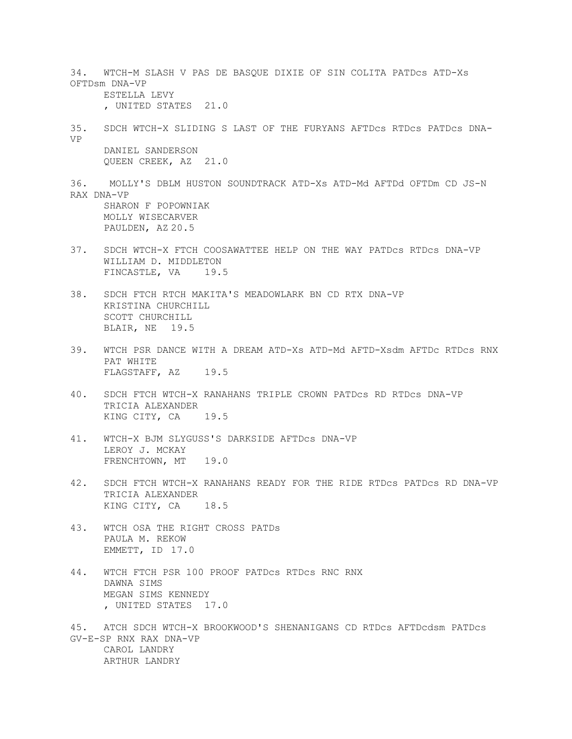34. WTCH-M SLASH V PAS DE BASQUE DIXIE OF SIN COLITA PATDcs ATD-Xs OFTDsm DNA-VP ESTELLA LEVY , UNITED STATES 21.0 35. SDCH WTCH-X SLIDING S LAST OF THE FURYANS AFTDcs RTDcs PATDcs DNA-VP DANIEL SANDERSON QUEEN CREEK, AZ 21.0 36. MOLLY'S DBLM HUSTON SOUNDTRACK ATD-Xs ATD-Md AFTDd OFTDm CD JS-N RAX DNA-VP SHARON F POPOWNIAK MOLLY WISECARVER PAULDEN, AZ 20.5 37. SDCH WTCH-X FTCH COOSAWATTEE HELP ON THE WAY PATDcs RTDcs DNA-VP WILLIAM D. MIDDLETON FINCASTLE, VA 19.5 38. SDCH FTCH RTCH MAKITA'S MEADOWLARK BN CD RTX DNA-VP KRISTINA CHURCHILL SCOTT CHURCHILL BLAIR, NE 19.5 39. WTCH PSR DANCE WITH A DREAM ATD-Xs ATD-Md AFTD-Xsdm AFTDc RTDcs RNX PAT WHITE FLAGSTAFF, AZ 19.5 40. SDCH FTCH WTCH-X RANAHANS TRIPLE CROWN PATDcs RD RTDcs DNA-VP TRICIA ALEXANDER KING CITY, CA 19.5 41. WTCH-X BJM SLYGUSS'S DARKSIDE AFTDcs DNA-VP LEROY J. MCKAY FRENCHTOWN, MT 19.0 42. SDCH FTCH WTCH-X RANAHANS READY FOR THE RIDE RTDcs PATDcs RD DNA-VP TRICIA ALEXANDER KING CITY, CA 18.5 43. WTCH OSA THE RIGHT CROSS PATDs PAULA M. REKOW EMMETT, ID 17.0 44. WTCH FTCH PSR 100 PROOF PATDcs RTDcs RNC RNX DAWNA SIMS MEGAN SIMS KENNEDY , UNITED STATES 17.0 45. ATCH SDCH WTCH-X BROOKWOOD'S SHENANIGANS CD RTDcs AFTDcdsm PATDcs GV-E-SP RNX RAX DNA-VP CAROL LANDRY ARTHUR LANDRY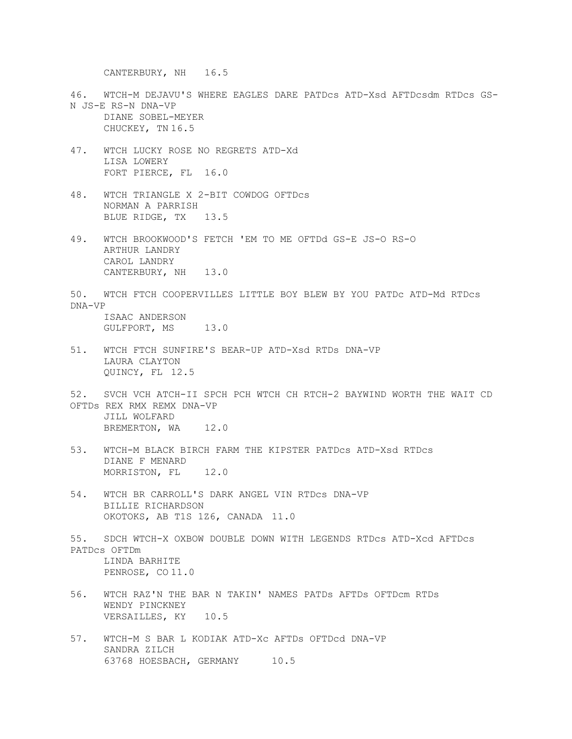CANTERBURY, NH 16.5

- 46. WTCH-M DEJAVU'S WHERE EAGLES DARE PATDcs ATD-Xsd AFTDcsdm RTDcs GS-N JS-E RS-N DNA-VP DIANE SOBEL-MEYER CHUCKEY, TN 16.5
- 47. WTCH LUCKY ROSE NO REGRETS ATD-Xd LISA LOWERY FORT PIERCE, FL 16.0
- 48. WTCH TRIANGLE X 2-BIT COWDOG OFTDcs NORMAN A PARRISH BLUE RIDGE, TX 13.5
- 49. WTCH BROOKWOOD'S FETCH 'EM TO ME OFTDd GS-E JS-O RS-O ARTHUR LANDRY CAROL LANDRY CANTERBURY, NH 13.0
- 50. WTCH FTCH COOPERVILLES LITTLE BOY BLEW BY YOU PATDc ATD-Md RTDcs DNA-VP ISAAC ANDERSON

GULFPORT, MS 13.0

- 51. WTCH FTCH SUNFIRE'S BEAR-UP ATD-Xsd RTDs DNA-VP LAURA CLAYTON QUINCY, FL 12.5
- 52. SVCH VCH ATCH-II SPCH PCH WTCH CH RTCH-2 BAYWIND WORTH THE WAIT CD OFTDs REX RMX REMX DNA-VP JILL WOLFARD BREMERTON, WA 12.0
- 53. WTCH-M BLACK BIRCH FARM THE KIPSTER PATDcs ATD-Xsd RTDcs DIANE F MENARD MORRISTON, FL 12.0
- 54. WTCH BR CARROLL'S DARK ANGEL VIN RTDcs DNA-VP BILLIE RICHARDSON OKOTOKS, AB T1S 1Z6, CANADA 11.0
- 55. SDCH WTCH-X OXBOW DOUBLE DOWN WITH LEGENDS RTDcs ATD-Xcd AFTDcs PATDcs OFTDm LINDA BARHITE PENROSE, CO 11.0
- 56. WTCH RAZ'N THE BAR N TAKIN' NAMES PATDs AFTDs OFTDcm RTDs WENDY PINCKNEY VERSAILLES, KY 10.5
- 57. WTCH-M S BAR L KODIAK ATD-Xc AFTDs OFTDcd DNA-VP SANDRA ZILCH 63768 HOESBACH, GERMANY 10.5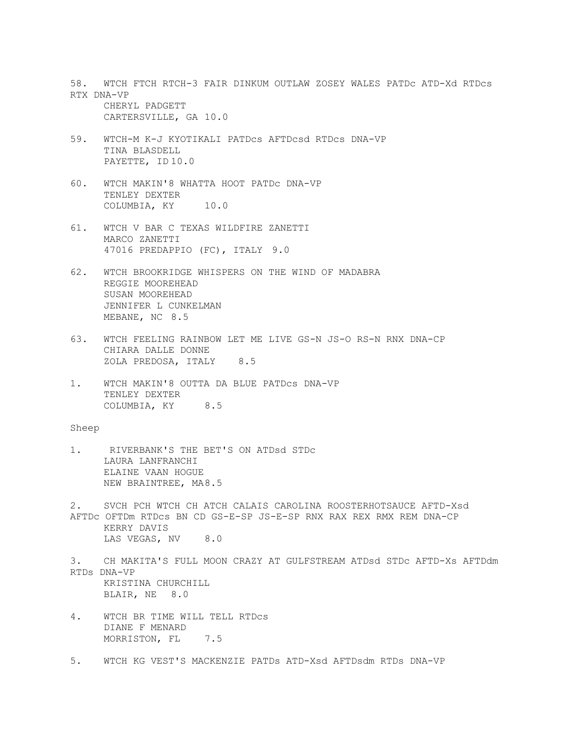58. WTCH FTCH RTCH-3 FAIR DINKUM OUTLAW ZOSEY WALES PATDc ATD-Xd RTDcs RTX DNA-VP CHERYL PADGETT CARTERSVILLE, GA 10.0 59. WTCH-M K-J KYOTIKALI PATDcs AFTDcsd RTDcs DNA-VP TINA BLASDELL PAYETTE, ID 10.0 60. WTCH MAKIN'8 WHATTA HOOT PATDc DNA-VP TENLEY DEXTER COLUMBIA, KY 10.0 61. WTCH V BAR C TEXAS WILDFIRE ZANETTI MARCO ZANETTI 47016 PREDAPPIO (FC), ITALY 9.0 62. WTCH BROOKRIDGE WHISPERS ON THE WIND OF MADABRA REGGIE MOOREHEAD SUSAN MOOREHEAD JENNIFER L CUNKELMAN MEBANE, NC 8.5 63. WTCH FEELING RAINBOW LET ME LIVE GS-N JS-O RS-N RNX DNA-CP CHIARA DALLE DONNE ZOLA PREDOSA, ITALY 8.5 1. WTCH MAKIN'8 OUTTA DA BLUE PATDcs DNA-VP TENLEY DEXTER COLUMBIA, KY 8.5 Sheep 1. RIVERBANK'S THE BET'S ON ATDsd STDc LAURA LANFRANCHI ELAINE VAAN HOGUE NEW BRAINTREE, MA8.5 2. SVCH PCH WTCH CH ATCH CALAIS CAROLINA ROOSTERHOTSAUCE AFTD-Xsd AFTDc OFTDm RTDcs BN CD GS-E-SP JS-E-SP RNX RAX REX RMX REM DNA-CP KERRY DAVIS LAS VEGAS, NV 8.0 3. CH MAKITA'S FULL MOON CRAZY AT GULFSTREAM ATDsd STDc AFTD-Xs AFTDdm RTDs DNA-VP KRISTINA CHURCHILL BLAIR, NE 8.0 4. WTCH BR TIME WILL TELL RTDcs DIANE F MENARD MORRISTON, FL<sub>7.5</sub> 5. WTCH KG VEST'S MACKENZIE PATDs ATD-Xsd AFTDsdm RTDs DNA-VP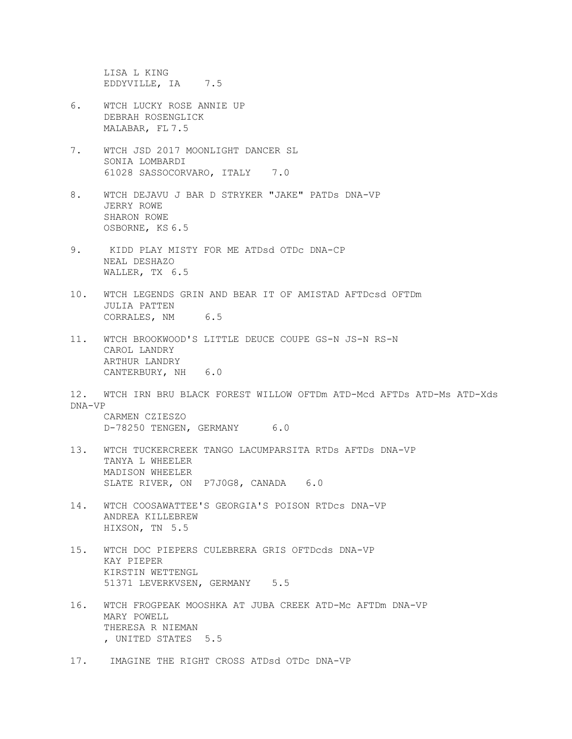LISA L KING EDDYVILLE, IA 7.5

- 6. WTCH LUCKY ROSE ANNIE UP DEBRAH ROSENGLICK MALABAR, FL 7.5
- 7. WTCH JSD 2017 MOONLIGHT DANCER SL SONIA LOMBARDI 61028 SASSOCORVARO, ITALY 7.0
- 8. WTCH DEJAVU J BAR D STRYKER "JAKE" PATDs DNA-VP JERRY ROWE SHARON ROWE OSBORNE, KS 6.5
- 9. KIDD PLAY MISTY FOR ME ATDsd OTDc DNA-CP NEAL DESHAZO WALLER, TX 6.5
- 10. WTCH LEGENDS GRIN AND BEAR IT OF AMISTAD AFTDcsd OFTDm JULIA PATTEN CORRALES, NM 6.5
- 11. WTCH BROOKWOOD'S LITTLE DEUCE COUPE GS-N JS-N RS-N CAROL LANDRY ARTHUR LANDRY CANTERBURY, NH 6.0
- 12. WTCH IRN BRU BLACK FOREST WILLOW OFTDm ATD-Mcd AFTDs ATD-Ms ATD-Xds DNA-VP

CARMEN CZIESZO D-78250 TENGEN, GERMANY 6.0

- 13. WTCH TUCKERCREEK TANGO LACUMPARSITA RTDs AFTDs DNA-VP TANYA L WHEELER MADISON WHEELER SLATE RIVER, ON P7J0G8, CANADA 6.0
- 14. WTCH COOSAWATTEE'S GEORGIA'S POISON RTDcs DNA-VP ANDREA KILLEBREW HIXSON, TN 5.5
- 15. WTCH DOC PIEPERS CULEBRERA GRIS OFTDcds DNA-VP KAY PIEPER KIRSTIN WETTENGL 51371 LEVERKVSEN, GERMANY 5.5
- 16. WTCH FROGPEAK MOOSHKA AT JUBA CREEK ATD-Mc AFTDm DNA-VP MARY POWELL THERESA R NIEMAN , UNITED STATES 5.5
- 17. IMAGINE THE RIGHT CROSS ATDsd OTDc DNA-VP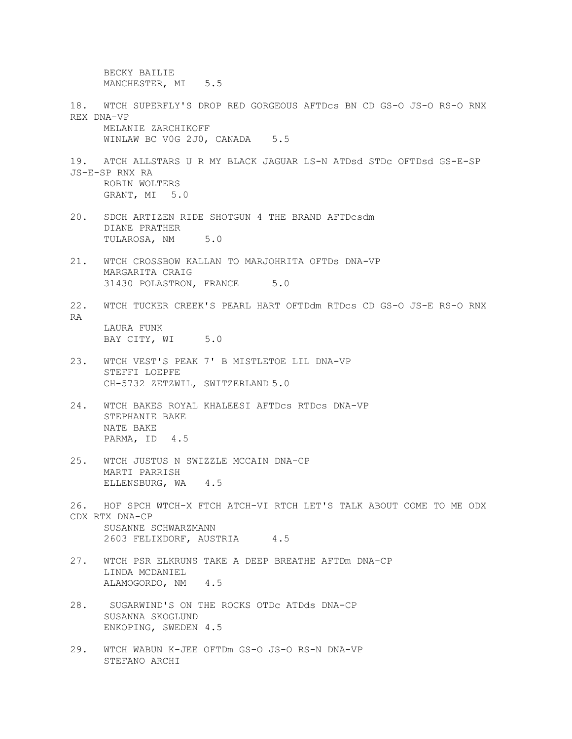BECKY BAILIE MANCHESTER, MI 5.5 18. WTCH SUPERFLY'S DROP RED GORGEOUS AFTDcs BN CD GS-O JS-O RS-O RNX REX DNA-VP MELANIE ZARCHIKOFF WINLAW BC VOG 2J0, CANADA 5.5 19. ATCH ALLSTARS U R MY BLACK JAGUAR LS-N ATDsd STDc OFTDsd GS-E-SP JS-E-SP RNX RA ROBIN WOLTERS GRANT, MI 5.0 20. SDCH ARTIZEN RIDE SHOTGUN 4 THE BRAND AFTDcsdm DIANE PRATHER TULAROSA, NM 5.0 21. WTCH CROSSBOW KALLAN TO MARJOHRITA OFTDs DNA-VP MARGARITA CRAIG 31430 POLASTRON, FRANCE 5.0 22. WTCH TUCKER CREEK'S PEARL HART OFTDdm RTDcs CD GS-O JS-E RS-O RNX RA LAURA FUNK BAY CITY, WI 5.0 23. WTCH VEST'S PEAK 7' B MISTLETOE LIL DNA-VP STEFFI LOEPFE CH-5732 ZETZWIL, SWITZERLAND 5.0 24. WTCH BAKES ROYAL KHALEESI AFTDcs RTDcs DNA-VP STEPHANIE BAKE NATE BAKE PARMA, ID 4.5 25. WTCH JUSTUS N SWIZZLE MCCAIN DNA-CP MARTI PARRISH ELLENSBURG, WA 4.5 26. HOF SPCH WTCH-X FTCH ATCH-VI RTCH LET'S TALK ABOUT COME TO ME ODX CDX RTX DNA-CP SUSANNE SCHWARZMANN 2603 FELIXDORF, AUSTRIA 4.5 27. WTCH PSR ELKRUNS TAKE A DEEP BREATHE AFTDm DNA-CP LINDA MCDANIEL ALAMOGORDO, NM 4.5 28. SUGARWIND'S ON THE ROCKS OTDc ATDds DNA-CP SUSANNA SKOGLUND ENKOPING, SWEDEN 4.5

29. WTCH WABUN K-JEE OFTDm GS-O JS-O RS-N DNA-VP STEFANO ARCHI